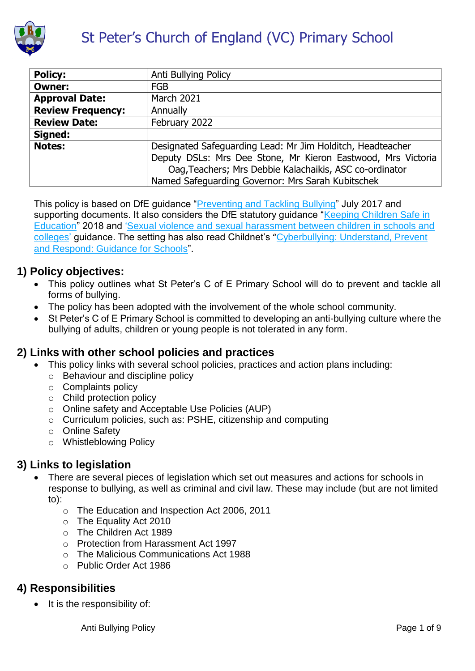

| <b>Policy:</b>           | Anti Bullying Policy                                         |
|--------------------------|--------------------------------------------------------------|
| <b>Owner:</b>            | <b>FGB</b>                                                   |
| <b>Approval Date:</b>    | <b>March 2021</b>                                            |
| <b>Review Frequency:</b> | Annually                                                     |
| <b>Review Date:</b>      | February 2022                                                |
| Signed:                  |                                                              |
| <b>Notes:</b>            | Designated Safeguarding Lead: Mr Jim Holditch, Headteacher   |
|                          | Deputy DSLs: Mrs Dee Stone, Mr Kieron Eastwood, Mrs Victoria |
|                          | Oag, Teachers; Mrs Debbie Kalachaikis, ASC co-ordinator      |
|                          | Named Safeguarding Governor: Mrs Sarah Kubitschek            |

This policy is based on DfE guidance ["Preventing and Tackling Bullying"](file:///C:/Users/AssitA01/AppData/Local/Microsoft/Windows/Temporary%20Internet%20Files/Content.Outlook/ZQ0RB9FM/•%09https:/www.gov.uk/government/publications/preventing-and-tackling-bullying) July 2017 and supporting documents. It also considers the DfE statutory guidance "Keeping Children Safe in [Education"](https://www.gov.uk/government/publications/keeping-children-safe-in-education--2) 2018 and ['Sexual violence and sexual harassment between children in schools and](https://www.gov.uk/government/publications/sexual-violence-and-sexual-harassment-between-children-in-schools-and-colleges)  [colleges'](https://www.gov.uk/government/publications/sexual-violence-and-sexual-harassment-between-children-in-schools-and-colleges) guidance. The setting has also read Childnet's "[Cyberbullying: Understand, Prevent](file:///C:/Users/AssitA01/AppData/Local/Microsoft/Windows/Temporary%20Internet%20Files/Content.Outlook/ZQ0RB9FM/www.childnet.com/resources/cyberbullying-guidance-for-schools)  [and Respond: Guidance for Schools"](file:///C:/Users/AssitA01/AppData/Local/Microsoft/Windows/Temporary%20Internet%20Files/Content.Outlook/ZQ0RB9FM/www.childnet.com/resources/cyberbullying-guidance-for-schools).

## **1) Policy objectives:**

- This policy outlines what St Peter's C of E Primary School will do to prevent and tackle all forms of bullying.
- The policy has been adopted with the involvement of the whole school community.
- St Peter's C of E Primary School is committed to developing an anti-bullying culture where the bullying of adults, children or young people is not tolerated in any form.

#### **2) Links with other school policies and practices**

- This policy links with several school policies, practices and action plans including:
	- o Behaviour and discipline policy
	- o Complaints policy
	- o Child protection policy
	- o Online safety and Acceptable Use Policies (AUP)
	- o Curriculum policies, such as: PSHE, citizenship and computing
	- o Online Safety
	- o Whistleblowing Policy

## **3) Links to legislation**

- There are several pieces of legislation which set out measures and actions for schools in response to bullying, as well as criminal and civil law. These may include (but are not limited to):
	- o The Education and Inspection Act 2006, 2011
	- o The Equality Act 2010
	- o The Children Act 1989
	- o Protection from Harassment Act 1997
	- o The Malicious Communications Act 1988
	- o Public Order Act 1986

## **4) Responsibilities**

 $\bullet$  It is the responsibility of:

Anti Bullying Policy **Provides a Contract Contract Contract Contract Contract Contract Contract Contract Contract Contract Contract Contract Contract Contract Contract Contract Contract Contract Contract Contract Contract**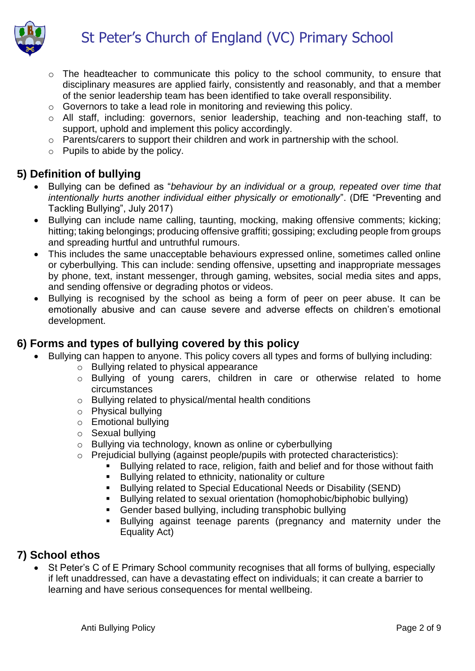# St Peter's Church of England (VC) Primary School



- o The headteacher to communicate this policy to the school community, to ensure that disciplinary measures are applied fairly, consistently and reasonably, and that a member of the senior leadership team has been identified to take overall responsibility.
- o Governors to take a lead role in monitoring and reviewing this policy.
- o All staff, including: governors, senior leadership, teaching and non-teaching staff, to support, uphold and implement this policy accordingly.
- o Parents/carers to support their children and work in partnership with the school.
- o Pupils to abide by the policy.

# **5) Definition of bullying**

- Bullying can be defined as "*behaviour by an individual or a group, repeated over time that intentionally hurts another individual either physically or emotionally*". (DfE "Preventing and Tackling Bullying", July 2017)
- Bullying can include name calling, taunting, mocking, making offensive comments; kicking; hitting; taking belongings; producing offensive graffiti; gossiping; excluding people from groups and spreading hurtful and untruthful rumours.
- This includes the same unacceptable behaviours expressed online, sometimes called online or cyberbullying. This can include: sending offensive, upsetting and inappropriate messages by phone, text, instant messenger, through gaming, websites, social media sites and apps, and sending offensive or degrading photos or videos.
- Bullying is recognised by the school as being a form of peer on peer abuse. It can be emotionally abusive and can cause severe and adverse effects on children's emotional development.

## **6) Forms and types of bullying covered by this policy**

- Bullying can happen to anyone. This policy covers all types and forms of bullying including:
	- o Bullying related to physical appearance
	- o Bullying of young carers, children in care or otherwise related to home circumstances
	- o Bullying related to physical/mental health conditions
	- o Physical bullying
	- o Emotional bullying
	- o Sexual bullying
	- o Bullying via technology, known as online or cyberbullying
	- o Prejudicial bullying (against people/pupils with protected characteristics):
		- Bullying related to race, religion, faith and belief and for those without faith
		- Bullying related to ethnicity, nationality or culture
		- **Bullying related to Special Educational Needs or Disability (SEND)**
		- Bullying related to sexual orientation (homophobic/biphobic bullying)
		- Gender based bullying, including transphobic bullying
		- Bullying against teenage parents (pregnancy and maternity under the Equality Act)

# **7) School ethos**

• St Peter's C of E Primary School community recognises that all forms of bullying, especially if left unaddressed, can have a devastating effect on individuals; it can create a barrier to learning and have serious consequences for mental wellbeing.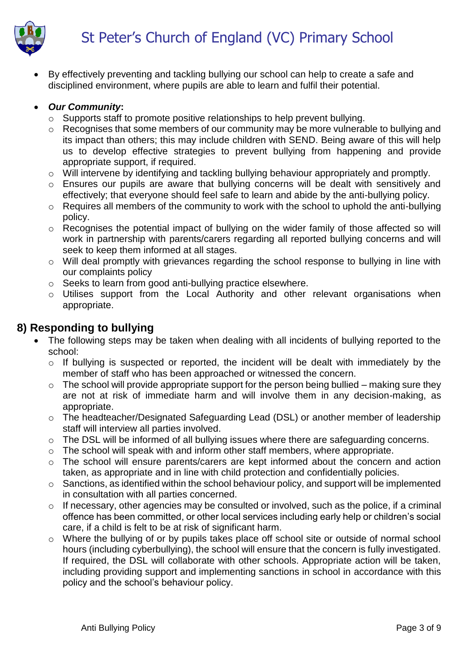

 By effectively preventing and tackling bullying our school can help to create a safe and disciplined environment, where pupils are able to learn and fulfil their potential.

#### *Our Community***:**

- o Supports staff to promote positive relationships to help prevent bullying.
- o Recognises that some members of our community may be more vulnerable to bullying and its impact than others; this may include children with SEND. Being aware of this will help us to develop effective strategies to prevent bullying from happening and provide appropriate support, if required.
- o Will intervene by identifying and tackling bullying behaviour appropriately and promptly.
- o Ensures our pupils are aware that bullying concerns will be dealt with sensitively and effectively; that everyone should feel safe to learn and abide by the anti-bullying policy.
- o Requires all members of the community to work with the school to uphold the anti-bullying policy.
- o Recognises the potential impact of bullying on the wider family of those affected so will work in partnership with parents/carers regarding all reported bullying concerns and will seek to keep them informed at all stages.
- o Will deal promptly with grievances regarding the school response to bullying in line with our complaints policy
- o Seeks to learn from good anti-bullying practice elsewhere.
- o Utilises support from the Local Authority and other relevant organisations when appropriate.

## **8) Responding to bullying**

- The following steps may be taken when dealing with all incidents of bullying reported to the school:
	- o If bullying is suspected or reported, the incident will be dealt with immediately by the member of staff who has been approached or witnessed the concern.
	- $\circ$  The school will provide appropriate support for the person being bullied making sure they are not at risk of immediate harm and will involve them in any decision-making, as appropriate.
	- o The headteacher/Designated Safeguarding Lead (DSL) or another member of leadership staff will interview all parties involved.
	- o The DSL will be informed of all bullying issues where there are safeguarding concerns.
	- o The school will speak with and inform other staff members, where appropriate.
	- o The school will ensure parents/carers are kept informed about the concern and action taken, as appropriate and in line with child protection and confidentially policies.
	- o Sanctions, as identified within the school behaviour policy, and support will be implemented in consultation with all parties concerned.
	- $\circ$  If necessary, other agencies may be consulted or involved, such as the police, if a criminal offence has been committed, or other local services including early help or children's social care, if a child is felt to be at risk of significant harm.
	- o Where the bullying of or by pupils takes place off school site or outside of normal school hours (including cyberbullying), the school will ensure that the concern is fully investigated. If required, the DSL will collaborate with other schools. Appropriate action will be taken, including providing support and implementing sanctions in school in accordance with this policy and the school's behaviour policy.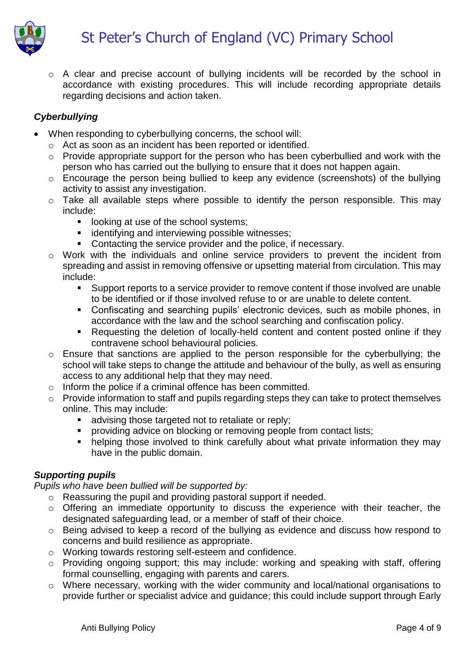

o A clear and precise account of bullying incidents will be recorded by the school in accordance with existing procedures. This will include recording appropriate details regarding decisions and action taken.

#### *Cyberbullying*

- When responding to cyberbullying concerns, the school will:
	- o Act as soon as an incident has been reported or identified.
	- o Provide appropriate support for the person who has been cyberbullied and work with the person who has carried out the bullying to ensure that it does not happen again.
	- o Encourage the person being bullied to keep any evidence (screenshots) of the bullying activity to assist any investigation.
	- o Take all available steps where possible to identify the person responsible. This may include:
		- **If** looking at use of the school systems;
		- **i** identifying and interviewing possible witnesses;
		- **Contacting the service provider and the police, if necessary.**
	- o Work with the individuals and online service providers to prevent the incident from spreading and assist in removing offensive or upsetting material from circulation. This may include:
		- Support reports to a service provider to remove content if those involved are unable to be identified or if those involved refuse to or are unable to delete content.
		- Confiscating and searching pupils' electronic devices, such as mobile phones, in accordance with the law and the school searching and confiscation policy.
		- Requesting the deletion of locally-held content and content posted online if they contravene school behavioural policies.
	- o Ensure that sanctions are applied to the person responsible for the cyberbullying; the school will take steps to change the attitude and behaviour of the bully, as well as ensuring access to any additional help that they may need.
	- o Inform the police if a criminal offence has been committed.
	- o Provide information to staff and pupils regarding steps they can take to protect themselves online. This may include:
		- **advising those targeted not to retaliate or reply;**
		- **•** providing advice on blocking or removing people from contact lists;
		- helping those involved to think carefully about what private information they may have in the public domain.

#### *Supporting pupils*

*Pupils who have been bullied will be supported by:*

- o Reassuring the pupil and providing pastoral support if needed.
- o Offering an immediate opportunity to discuss the experience with their teacher, the designated safeguarding lead, or a member of staff of their choice.
- o Being advised to keep a record of the bullying as evidence and discuss how respond to concerns and build resilience as appropriate.
- o Working towards restoring self-esteem and confidence.
- o Providing ongoing support; this may include: working and speaking with staff, offering formal counselling, engaging with parents and carers.
- o Where necessary, working with the wider community and local/national organisations to provide further or specialist advice and guidance; this could include support through Early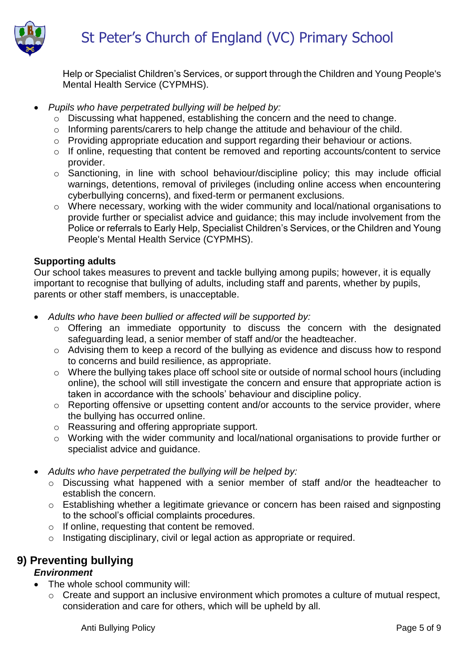

Help or Specialist Children's Services, or support through the Children and Young People's Mental Health Service (CYPMHS).

#### *Pupils who have perpetrated bullying will be helped by:*

- o Discussing what happened, establishing the concern and the need to change.
- o Informing parents/carers to help change the attitude and behaviour of the child.
- o Providing appropriate education and support regarding their behaviour or actions.
- o If online, requesting that content be removed and reporting accounts/content to service provider.
- o Sanctioning, in line with school behaviour/discipline policy; this may include official warnings, detentions, removal of privileges (including online access when encountering cyberbullying concerns), and fixed-term or permanent exclusions.
- o Where necessary, working with the wider community and local/national organisations to provide further or specialist advice and guidance; this may include involvement from the Police or referrals to Early Help, Specialist Children's Services, or the Children and Young People's Mental Health Service (CYPMHS).

#### **Supporting adults**

Our school takes measures to prevent and tackle bullying among pupils; however, it is equally important to recognise that bullying of adults, including staff and parents, whether by pupils, parents or other staff members, is unacceptable.

- *Adults who have been bullied or affected will be supported by:*
	- o Offering an immediate opportunity to discuss the concern with the designated safeguarding lead, a senior member of staff and/or the headteacher.
	- o Advising them to keep a record of the bullying as evidence and discuss how to respond to concerns and build resilience, as appropriate.
	- o Where the bullying takes place off school site or outside of normal school hours (including online), the school will still investigate the concern and ensure that appropriate action is taken in accordance with the schools' behaviour and discipline policy.
	- o Reporting offensive or upsetting content and/or accounts to the service provider, where the bullying has occurred online.
	- o Reassuring and offering appropriate support.
	- o Working with the wider community and local/national organisations to provide further or specialist advice and guidance.
- *Adults who have perpetrated the bullying will be helped by:*
	- o Discussing what happened with a senior member of staff and/or the headteacher to establish the concern.
	- o Establishing whether a legitimate grievance or concern has been raised and signposting to the school's official complaints procedures.
	- o If online, requesting that content be removed.
	- o Instigating disciplinary, civil or legal action as appropriate or required.

## **9) Preventing bullying**

#### *Environment*

- The whole school community will:
	- o Create and support an inclusive environment which promotes a culture of mutual respect, consideration and care for others, which will be upheld by all.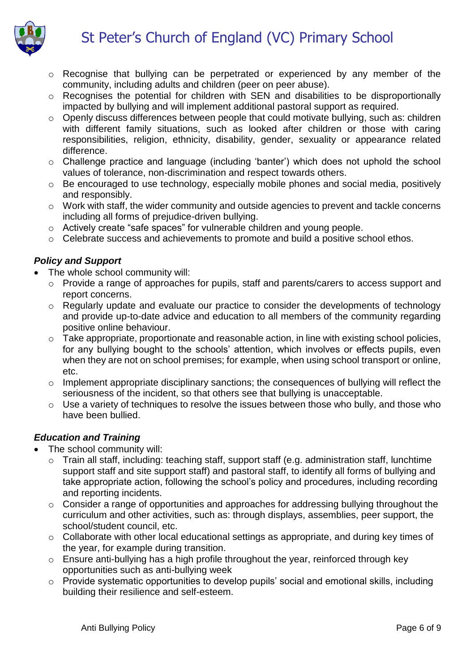# St Peter's Church of England (VC) Primary School



- o Recognise that bullying can be perpetrated or experienced by any member of the community, including adults and children (peer on peer abuse).
- o Recognises the potential for children with SEN and disabilities to be disproportionally impacted by bullying and will implement additional pastoral support as required.
- o Openly discuss differences between people that could motivate bullying, such as: children with different family situations, such as looked after children or those with caring responsibilities, religion, ethnicity, disability, gender, sexuality or appearance related difference.
- o Challenge practice and language (including 'banter') which does not uphold the school values of tolerance, non-discrimination and respect towards others.
- o Be encouraged to use technology, especially mobile phones and social media, positively and responsibly.
- o Work with staff, the wider community and outside agencies to prevent and tackle concerns including all forms of prejudice-driven bullying.
- o Actively create "safe spaces" for vulnerable children and young people.
- o Celebrate success and achievements to promote and build a positive school ethos.

#### *Policy and Support*

- The whole school community will:
	- o Provide a range of approaches for pupils, staff and parents/carers to access support and report concerns.
	- o Regularly update and evaluate our practice to consider the developments of technology and provide up-to-date advice and education to all members of the community regarding positive online behaviour.
	- o Take appropriate, proportionate and reasonable action, in line with existing school policies, for any bullying bought to the schools' attention, which involves or effects pupils, even when they are not on school premises; for example, when using school transport or online, etc.
	- o Implement appropriate disciplinary sanctions; the consequences of bullying will reflect the seriousness of the incident, so that others see that bullying is unacceptable.
	- o Use a variety of techniques to resolve the issues between those who bully, and those who have been bullied.

#### *Education and Training*

- The school community will:
	- o Train all staff, including: teaching staff, support staff (e.g. administration staff, lunchtime support staff and site support staff) and pastoral staff, to identify all forms of bullying and take appropriate action, following the school's policy and procedures, including recording and reporting incidents.
	- o Consider a range of opportunities and approaches for addressing bullying throughout the curriculum and other activities, such as: through displays, assemblies, peer support, the school/student council, etc.
	- o Collaborate with other local educational settings as appropriate, and during key times of the year, for example during transition.
	- o Ensure anti-bullying has a high profile throughout the year, reinforced through key opportunities such as anti-bullying week
	- o Provide systematic opportunities to develop pupils' social and emotional skills, including building their resilience and self-esteem.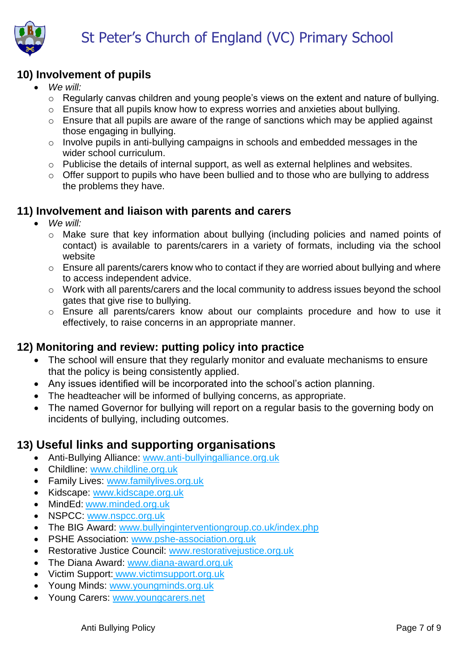# **10) Involvement of pupils**

- *We will:* 
	- o Regularly canvas children and young people's views on the extent and nature of bullying.
	- o Ensure that all pupils know how to express worries and anxieties about bullying.
	- o Ensure that all pupils are aware of the range of sanctions which may be applied against those engaging in bullying.
	- o Involve pupils in anti-bullying campaigns in schools and embedded messages in the wider school curriculum.
	- o Publicise the details of internal support, as well as external helplines and websites.
	- $\circ$  Offer support to pupils who have been bullied and to those who are bullying to address the problems they have.

# **11) Involvement and liaison with parents and carers**

- *We will:* 
	- o Make sure that key information about bullying (including policies and named points of contact) is available to parents/carers in a variety of formats, including via the school website
	- o Ensure all parents/carers know who to contact if they are worried about bullying and where to access independent advice.
	- o Work with all parents/carers and the local community to address issues beyond the school gates that give rise to bullying.
	- o Ensure all parents/carers know about our complaints procedure and how to use it effectively, to raise concerns in an appropriate manner.

# **12) Monitoring and review: putting policy into practice**

- The school will ensure that they regularly monitor and evaluate mechanisms to ensure that the policy is being consistently applied.
- Any issues identified will be incorporated into the school's action planning.
- The headteacher will be informed of bullying concerns, as appropriate.
- The named Governor for bullying will report on a regular basis to the governing body on incidents of bullying, including outcomes.

# **13) Useful links and supporting organisations**

- Anti-Bullying Alliance: [www.anti-bullyingalliance.org.uk](http://www.anti-bullyingalliance.org.uk/)
- Childline: [www.childline.org.uk](http://www.childline.org.uk/)
- Family Lives: [www.familylives.org.uk](http://www.familylives.org.uk/)
- Kidscape: [www.kidscape.org.uk](http://www.kidscape.org.uk/)
- MindEd: [www.minded.org.uk](http://www.minded.org.uk/)
- NSPCC: [www.nspcc.org.uk](http://www.nspcc.org.uk/)
- The BIG Award: www.bullvinginterventiongroup.co.uk/index.php
- PSHE Association: [www.pshe-association.org.uk](http://www.pshe-association.org.uk/)
- Restorative Justice Council: [www.restorativejustice.org.uk](http://www.restorativejustice.org.uk/)
- The Diana Award: [www.diana-award.org.uk](http://www.diana-award.org.uk/)
- Victim Support: [www.victimsupport.org.uk](http://www.victimsupport.org.uk/)
- Young Minds: [www.youngminds.org.uk](http://www.youngminds.org.uk/)
- Young Carers: [www.youngcarers.net](http://www.youngcarers.net/)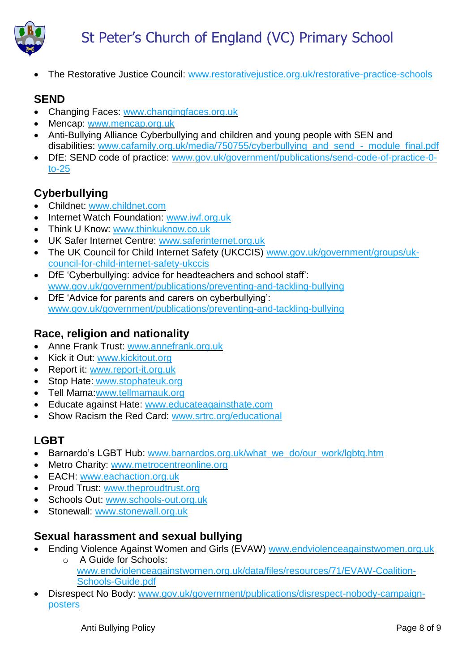

The Restorative Justice Council: [www.restorativejustice.org.uk/restorative-practice-schools](http://www.restorativejustice.org.uk/restorative-practice-schools)

# **SEND**

- Changing Faces: [www.changingfaces.org.uk](http://www.changingfaces.org.uk/)
- Mencap: [www.mencap.org.uk](http://www.mencap.org.uk/)
- Anti-Bullying Alliance Cyberbullying and children and young people with SEN and disabilities: www.cafamily.org.uk/media/750755/cyberbullying\_and\_send - module\_final.pdf
- DfE: SEND code of practice: [www.gov.uk/government/publications/send-code-of-practice-0](https://www.gov.uk/government/publications/send-code-of-practice-0-to-25) [to-25](https://www.gov.uk/government/publications/send-code-of-practice-0-to-25)

# **Cyberbullying**

- Childnet: [www.childnet.com](http://www.childnet.com/)
- Internet Watch Foundation: [www.iwf.org.uk](http://www.iwf.org.uk/)
- Think U Know: [www.thinkuknow.co.uk](http://www.thinkuknow.co.uk/)
- UK Safer Internet Centre: [www.saferinternet.org.uk](http://www.saferinternet.org.uk/)
- The UK Council for Child Internet Safety (UKCCIS) [www.gov.uk/government/groups/uk](http://www.gov.uk/government/groups/uk-council-for-child-internet-safety-ukccis)[council-for-child-internet-safety-ukccis](http://www.gov.uk/government/groups/uk-council-for-child-internet-safety-ukccis)
- DfE 'Cyberbullying: advice for headteachers and school staff': [www.gov.uk/government/publications/preventing-and-tackling-bullying](http://www.gov.uk/government/publications/preventing-and-tackling-bullying)
- DfE 'Advice for parents and carers on cyberbullying': [www.gov.uk/government/publications/preventing-and-tackling-bullying](http://www.gov.uk/government/publications/preventing-and-tackling-bullying)

## **Race, religion and nationality**

- Anne Frank Trust: [www.annefrank.org.uk](http://www.annefrank.org.uk/)
- Kick it Out: [www.kickitout.org](http://www.kickitout.org/)
- Report it: [www.report-it.org.uk](http://www.report-it.org.uk/)
- Stop Hate: [www.stophateuk.org](http://www.stophateuk.org/)
- Tell Mama[:www.tellmamauk.org](http://www.tellmamauk.org/)
- Educate against Hate: [www.educateagainsthate.com](http://www.educateagainsthate.com/)
- Show Racism the Red Card: [www.srtrc.org/educational](http://www.srtrc.org/educational)

# **LGBT**

- Barnardo's LGBT Hub: www.barnardos.org.uk/what\_we\_do/our\_work/lgbtg.htm
- Metro Charity: [www.metrocentreonline.org](http://www.metrocentreonline.org/)
- EACH: [www.eachaction.org.uk](http://www.eachaction.org.uk/)
- Proud Trust: [www.theproudtrust.org](http://www.theproudtrust.org/)
- Schools Out: [www.schools-out.org.uk](http://www.schools-out.org.uk/)
- Stonewall: [www.stonewall.org.uk](http://www.stonewall.org.uk/)

## **Sexual harassment and sexual bullying**

- **Ending Violence Against Women and Girls (EVAW)** [www.endviolenceagainstwomen.org.uk](http://www.endviolenceagainstwomen.org.uk/) o A Guide for Schools:
	- [www.endviolenceagainstwomen.org.uk/data/files/resources/71/EVAW-Coalition-](http://www.endviolenceagainstwomen.org.uk/data/files/resources/71/EVAW-Coalition-Schools-Guide.pdf)[Schools-Guide.pdf](http://www.endviolenceagainstwomen.org.uk/data/files/resources/71/EVAW-Coalition-Schools-Guide.pdf)
- Disrespect No Body: [www.gov.uk/government/publications/disrespect-nobody-campaign](http://www.gov.uk/government/publications/disrespect-nobody-campaign-posters)[posters](http://www.gov.uk/government/publications/disrespect-nobody-campaign-posters)